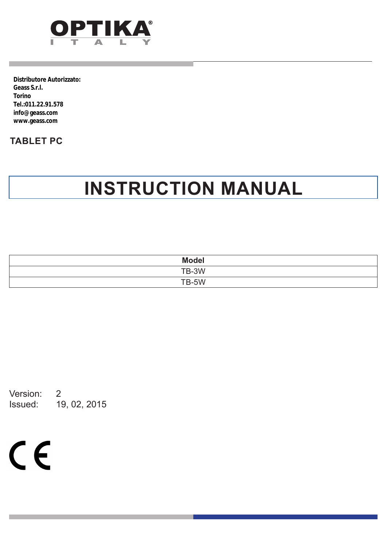

**Distributore Autorizzato: Geass S.r.l. Torino Tel.:011.22.91.578 info@geass.com www.geass.com**

### **TABLET PC**

## **INSTRUCTION MANUAL**

| <b>Model</b> |  |
|--------------|--|
| TB-3W        |  |
| TB-5W        |  |

Version: 2<br>Issued: 19 19, 02, 2015

 $C<sub>f</sub>$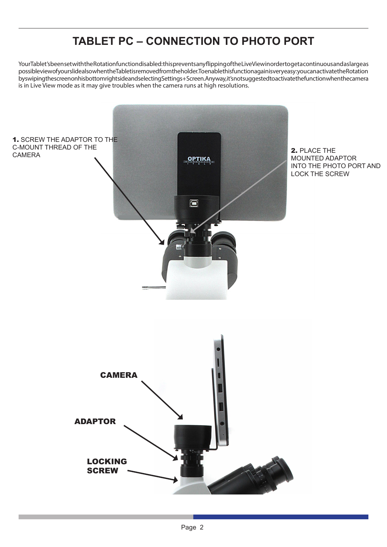### **TABLET PC – CONNECTION TO PHOTO PORT**

Your Tablet's been set with the Rotation function disabled: this prevents any flipping of the Live View in order to get a continuous and as large as possible view of your slide also when the Tablet is removed from the holder. To enable this function again is very easy: you can activate the Rotation by swiping the screen on his bottom right side and selecting Settings + Screen. Anyway, it's not suggested to activate the function when the camera is in Live View mode as it may give troubles when the camera runs at high resolutions.

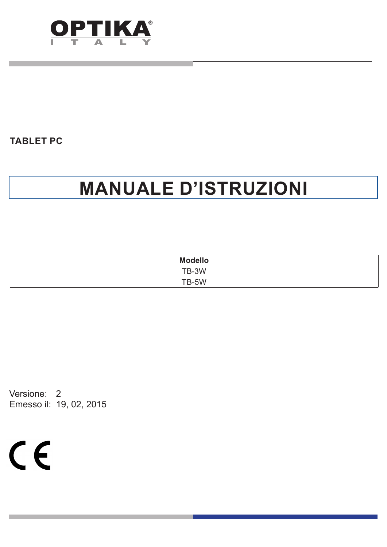

## **MANUALE D'ISTRUZIONI**

| <b>Modello</b> |
|----------------|
| TB-3W          |
| TB-5W          |
|                |

Versione: 2 Emesso il: 19, 02, 2015

 $C<sub>f</sub>$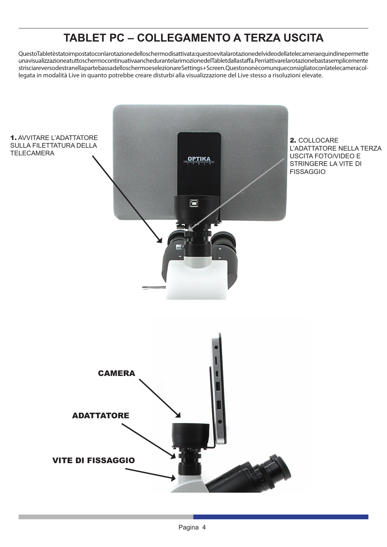### **TABLET PC – COLLEGAMENTO A TERZA USCITA**

QuestoTabletèstatoimpostatoconlarotazionedelloschermodisattivata:questoevitalarotazionedelvideodellatelecameraequindinepermette una visualizzazione a tutto schermo continuativa anche durante la rimozione del Tablet dalla staffa.Per riattivare la rotazione basta semplicemente strisciare verso destra nella parte bassa dello schermo e selezionare Settings + Screen. Questo non è comunque consigliato con la telecamera collegata in modalità Live in quanto potrebbe creare disturbi alla visualizzazione del Live stesso a risoluzioni elevate.

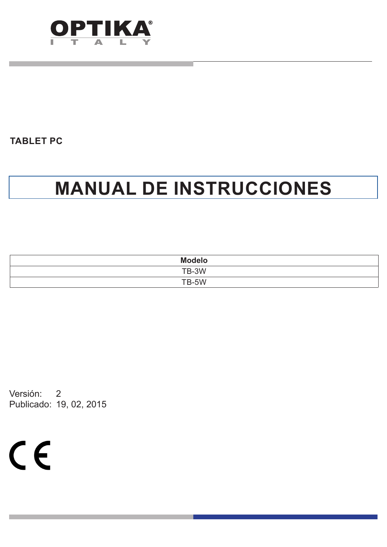

## **MANUAL DE INSTRUCCIONES**

| <b>Modelo</b> |
|---------------|
| TB-3W         |
| TB-5W         |

Versión: 2 Publicado: 19, 02, 2015

 $C \in$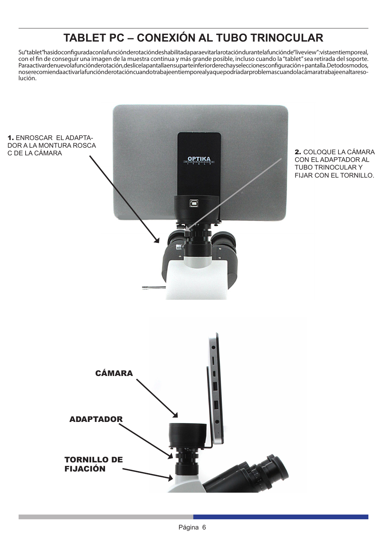### **TABLET PC – CONEXIÓN AL TUBO TRINOCULAR**

Su "tablet" ha sido configurada con la función de rotación deshabilitada para evitar la rotación durante la función de "live view": vista en tiempo real, con el fin de conseguir una imagen de la muestra continua y más grande posible, incluso cuando la "tablet" sea retirada del soporte. Para activar de nuevo la función de rotación, deslice la pantalla en suparte inferior de recha y selecciones configuración + pantalla. De todos modos, no se recomienda activar la función de rotación cuando trabaje en tiempo real ya que podría dar problemas cuando la cámara trabaje en alta resolución.

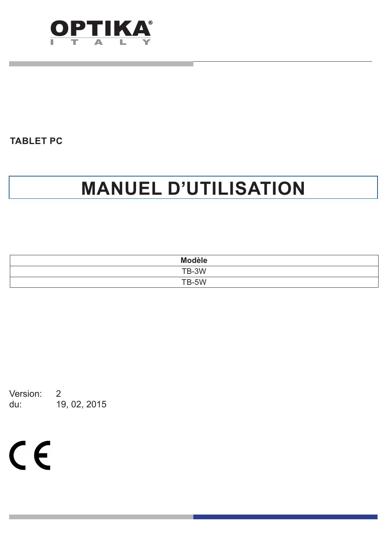

## **MANUEL D'UTILISATION**

| <b>Modèle</b> |
|---------------|
| TB-3W         |
| TB-5W         |

Version: 2<br>du: 19 du: 19, 02, 2015

 $C \in$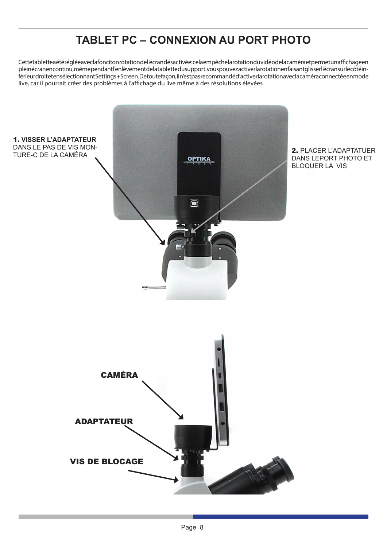### **TABLET PC – CONNEXION AU PORT PHOTO**

Cettetablettea été réglée avec la fonciton rotation de l'écran désactivée: cela empêche la rotation du vidéo de la caméra et permet un affichage en plein écran en continu, même pendant l'enlèvement de la tablette du support. vous pouvez activer la rotation en faisant glisser l'écran sur le côté inférieur droit et en sélectionnant Settings + Screen. De toute façon, il n'est pas recommandé d'activer la rotation avec la caméra connectée en mode live, car il pourrait créer des problèmes à l'affichage du live même à des résolutions élevées.

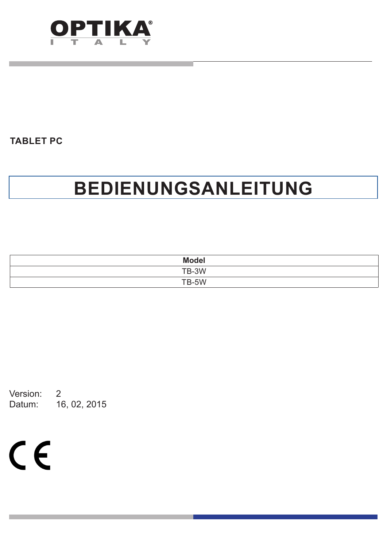

## **BEDIENUNGSANLEITUNG**

| <b>Model</b> |  |
|--------------|--|
| TB-3W        |  |
| TB-5W        |  |

Version: 2 Datum: 16, 02, 2015

 $C<sub>f</sub>$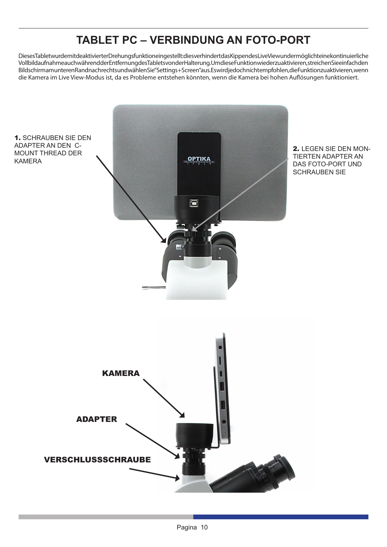### **TABLET PC – VERBINDUNG AN FOTO-PORT**

Dieses Tablet wurde mit deaktivierter Drehungsfunktion eingestellt: dies verhindert das Kippen des Live View und ermöglicht eine kontinuierliche Vollbildaufnahme auch während der Entfernung des Tablets von der Halterung.Um diese Funktion wieder zu aktivieren, streichen Sie einfach den Bildschirm am unteren Rand nach rechts und wählen Sie "Settings + Screen" aus. Es wird jedoch nicht empfohlen, die Funktion zu aktivieren, wenn die Kamera im Live View-Modus ist, da es Probleme entstehen könnten, wenn die Kamera bei hohen Auflösungen funktioniert.

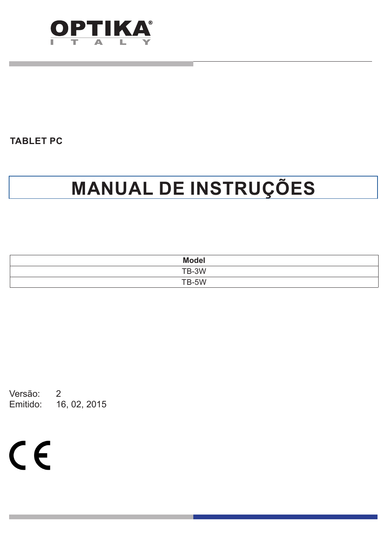

# **MANUAL DE INSTRUÇÕES**

| <b>Model</b> |  |
|--------------|--|
| TB-3W        |  |
| TB-5W        |  |

Versão: 2 Emitido: 16, 02, 2015

 $C \in$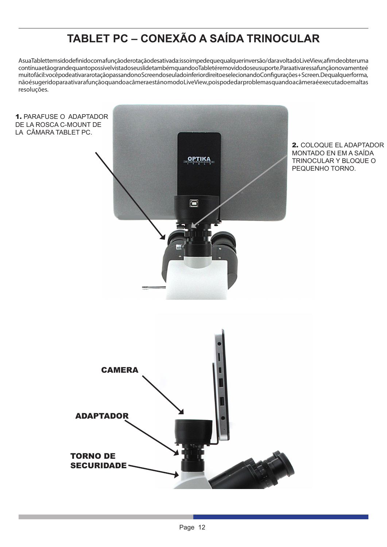## **TABLET PC – CONEXÃO A SAÍDA TRINOCULAR**

AsuaTablettem sido definido com a função derotação desativada: isso impede que qualquer inversão/dar a volta do Live View, a fim de obter uma contínua e tão grande quanto possível vista do seu sil de também quando o Tableté removido do seu suporte.Para ativar essa função novamente é muito fácil: você pode ativar a rotação passando no Screendo seu la doinferior direito eselecionando Configurações + Screen. De qualquer forma, não é sugerido para ativar a função quando a câmera está no modo Live View, pois pode dar problemas quando a câmera é executado em altas resoluções.